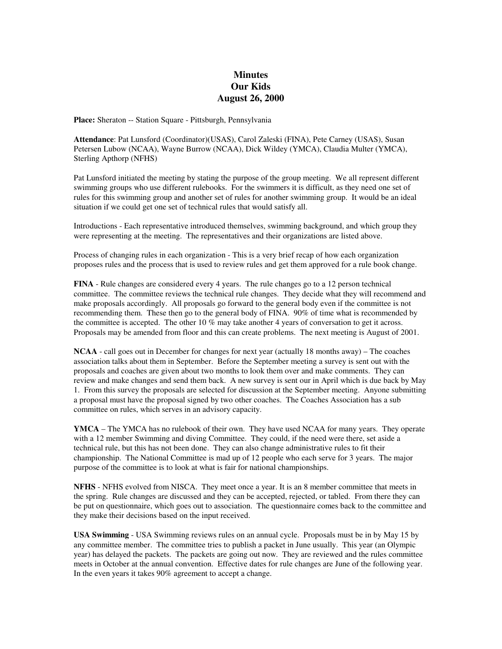## **Minutes Our Kids August 26, 2000**

**Place:** Sheraton -- Station Square - Pittsburgh, Pennsylvania

**Attendance**: Pat Lunsford (Coordinator)(USAS), Carol Zaleski (FINA), Pete Carney (USAS), Susan Petersen Lubow (NCAA), Wayne Burrow (NCAA), Dick Wildey (YMCA), Claudia Multer (YMCA), Sterling Apthorp (NFHS)

Pat Lunsford initiated the meeting by stating the purpose of the group meeting. We all represent different swimming groups who use different rulebooks. For the swimmers it is difficult, as they need one set of rules for this swimming group and another set of rules for another swimming group. It would be an ideal situation if we could get one set of technical rules that would satisfy all.

Introductions - Each representative introduced themselves, swimming background, and which group they were representing at the meeting. The representatives and their organizations are listed above.

Process of changing rules in each organization - This is a very brief recap of how each organization proposes rules and the process that is used to review rules and get them approved for a rule book change.

**FINA** - Rule changes are considered every 4 years. The rule changes go to a 12 person technical committee. The committee reviews the technical rule changes. They decide what they will recommend and make proposals accordingly. All proposals go forward to the general body even if the committee is not recommending them. These then go to the general body of FINA. 90% of time what is recommended by the committee is accepted. The other 10 % may take another 4 years of conversation to get it across. Proposals may be amended from floor and this can create problems. The next meeting is August of 2001.

**NCAA** - call goes out in December for changes for next year (actually 18 months away) – The coaches association talks about them in September. Before the September meeting a survey is sent out with the proposals and coaches are given about two months to look them over and make comments. They can review and make changes and send them back. A new survey is sent our in April which is due back by May 1. From this survey the proposals are selected for discussion at the September meeting. Anyone submitting a proposal must have the proposal signed by two other coaches. The Coaches Association has a sub committee on rules, which serves in an advisory capacity.

**YMCA** – The YMCA has no rulebook of their own. They have used NCAA for many years. They operate with a 12 member Swimming and diving Committee. They could, if the need were there, set aside a technical rule, but this has not been done. They can also change administrative rules to fit their championship. The National Committee is mad up of 12 people who each serve for 3 years. The major purpose of the committee is to look at what is fair for national championships.

**NFHS** - NFHS evolved from NISCA. They meet once a year. It is an 8 member committee that meets in the spring. Rule changes are discussed and they can be accepted, rejected, or tabled. From there they can be put on questionnaire, which goes out to association. The questionnaire comes back to the committee and they make their decisions based on the input received.

**USA Swimming** - USA Swimming reviews rules on an annual cycle. Proposals must be in by May 15 by any committee member. The committee tries to publish a packet in June usually. This year (an Olympic year) has delayed the packets. The packets are going out now. They are reviewed and the rules committee meets in October at the annual convention. Effective dates for rule changes are June of the following year. In the even years it takes 90% agreement to accept a change.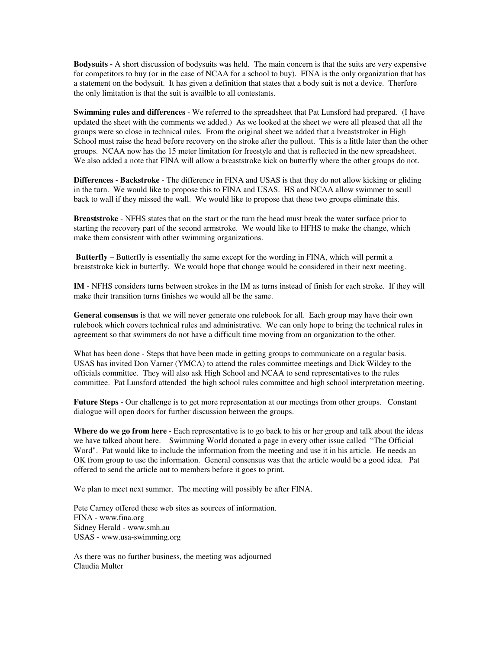**Bodysuits -** A short discussion of bodysuits was held. The main concern is that the suits are very expensive for competitors to buy (or in the case of NCAA for a school to buy). FINA is the only organization that has a statement on the bodysuit. It has given a definition that states that a body suit is not a device. Therfore the only limitation is that the suit is availble to all contestants.

**Swimming rules and differences** - We referred to the spreadsheet that Pat Lunsford had prepared. (I have updated the sheet with the comments we added.) As we looked at the sheet we were all pleased that all the groups were so close in technical rules. From the original sheet we added that a breaststroker in High School must raise the head before recovery on the stroke after the pullout. This is a little later than the other groups. NCAA now has the 15 meter limitation for freestyle and that is reflected in the new spreadsheet. We also added a note that FINA will allow a breaststroke kick on butterfly where the other groups do not.

**Differences - Backstroke** - The difference in FINA and USAS is that they do not allow kicking or gliding in the turn. We would like to propose this to FINA and USAS. HS and NCAA allow swimmer to scull back to wall if they missed the wall. We would like to propose that these two groups eliminate this.

**Breaststroke** - NFHS states that on the start or the turn the head must break the water surface prior to starting the recovery part of the second armstroke. We would like to HFHS to make the change, which make them consistent with other swimming organizations.

**Butterfly** – Butterfly is essentially the same except for the wording in FINA, which will permit a breaststroke kick in butterfly. We would hope that change would be considered in their next meeting.

**IM** - NFHS considers turns between strokes in the IM as turns instead of finish for each stroke. If they will make their transition turns finishes we would all be the same.

**General consensus** is that we will never generate one rulebook for all. Each group may have their own rulebook which covers technical rules and administrative. We can only hope to bring the technical rules in agreement so that swimmers do not have a difficult time moving from on organization to the other.

What has been done - Steps that have been made in getting groups to communicate on a regular basis. USAS has invited Don Varner (YMCA) to attend the rules committee meetings and Dick Wildey to the officials committee. They will also ask High School and NCAA to send representatives to the rules committee. Pat Lunsford attended the high school rules committee and high school interpretation meeting.

**Future Steps** - Our challenge is to get more representation at our meetings from other groups. Constant dialogue will open doors for further discussion between the groups.

**Where do we go from here** - Each representative is to go back to his or her group and talk about the ideas we have talked about here. Swimming World donated a page in every other issue called "The Official Word". Pat would like to include the information from the meeting and use it in his article. He needs an OK from group to use the information. General consensus was that the article would be a good idea. Pat offered to send the article out to members before it goes to print.

We plan to meet next summer. The meeting will possibly be after FINA.

Pete Carney offered these web sites as sources of information. FINA - www.fina.org Sidney Herald - www.smh.au USAS - www.usa-swimming.org

As there was no further business, the meeting was adjourned Claudia Multer